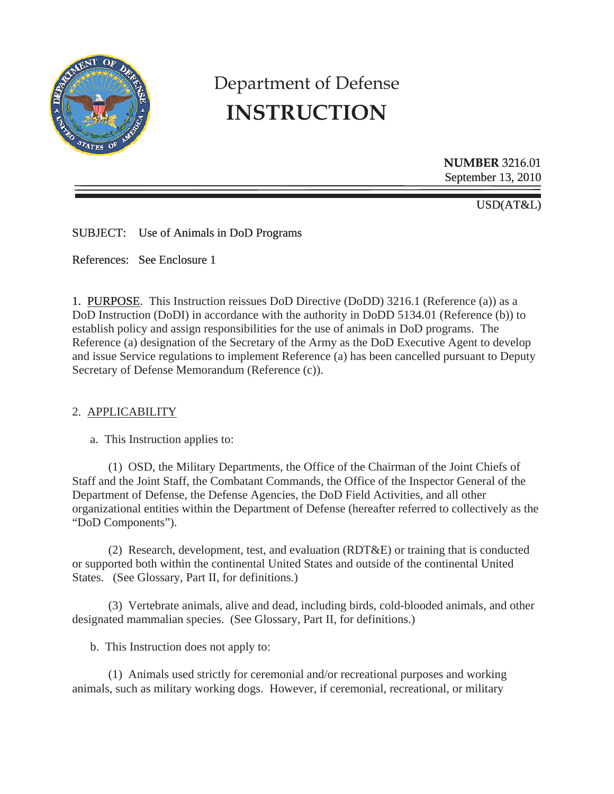

# Department of Defense **INSTRUCTION**

**NUMBER** 3216.01 September 13, 2010

USD(AT&L)

SUBJECT: Use of Animals in DoD Programs

References: See Enclosure 1

1. PURPOSE. This Instruction reissues DoD Directive (DoDD) 3216.1 (Reference (a)) as a DoD Instruction (DoDI) in accordance with the authority in DoDD 5134.01 (Reference (b)) to establish policy and assign responsibilities for the use of animals in DoD programs. The Reference (a) designation of the Secretary of the Army as the DoD Executive Agent to develop and issue Service regulations to implement Reference (a) has been cancelled pursuant to Deputy Secretary of Defense Memorandum (Reference (c)).

#### 2. APPLICABILITY

a. This Instruction applies to:

 (1) OSD, the Military Departments, the Office of the Chairman of the Joint Chiefs of Staff and the Joint Staff, the Combatant Commands, the Office of the Inspector General of the Department of Defense, the Defense Agencies, the DoD Field Activities, and all other organizational entities within the Department of Defense (hereafter referred to collectively as the "DoD Components").

 (2) Research, development, test, and evaluation (RDT&E) or training that is conducted or supported both within the continental United States and outside of the continental United States. (See Glossary, Part II, for definitions.)

 (3) Vertebrate animals, alive and dead, including birds, cold-blooded animals, and other designated mammalian species. (See Glossary, Part II, for definitions.)

b. This Instruction does not apply to:

(1) Animals used strictly for ceremonial and/or recreational purposes and working animals, such as military working dogs. However, if ceremonial, recreational, or military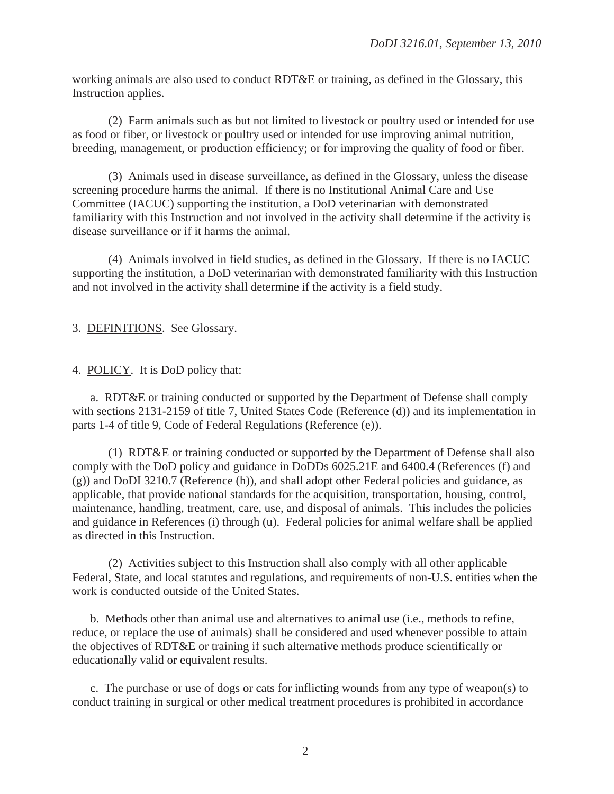working animals are also used to conduct RDT&E or training, as defined in the Glossary, this Instruction applies.

(2) Farm animals such as but not limited to livestock or poultry used or intended for use as food or fiber, or livestock or poultry used or intended for use improving animal nutrition, breeding, management, or production efficiency; or for improving the quality of food or fiber.

(3) Animals used in disease surveillance, as defined in the Glossary, unless the disease screening procedure harms the animal. If there is no Institutional Animal Care and Use Committee (IACUC) supporting the institution, a DoD veterinarian with demonstrated familiarity with this Instruction and not involved in the activity shall determine if the activity is disease surveillance or if it harms the animal.

(4) Animals involved in field studies, as defined in the Glossary. If there is no IACUC supporting the institution, a DoD veterinarian with demonstrated familiarity with this Instruction and not involved in the activity shall determine if the activity is a field study.

3. DEFINITIONS. See Glossary.

4. POLICY. It is DoD policy that:

 a. RDT&E or training conducted or supported by the Department of Defense shall comply with sections 2131-2159 of title 7, United States Code (Reference (d)) and its implementation in parts 1-4 of title 9, Code of Federal Regulations (Reference (e)).

 (1) RDT&E or training conducted or supported by the Department of Defense shall also comply with the DoD policy and guidance in DoDDs 6025.21E and 6400.4 (References (f) and (g)) and DoDI 3210.7 (Reference (h)), and shall adopt other Federal policies and guidance, as applicable, that provide national standards for the acquisition, transportation, housing, control, maintenance, handling, treatment, care, use, and disposal of animals. This includes the policies and guidance in References (i) through (u). Federal policies for animal welfare shall be applied as directed in this Instruction.

 (2) Activities subject to this Instruction shall also comply with all other applicable Federal, State, and local statutes and regulations, and requirements of non-U.S. entities when the work is conducted outside of the United States.

b. Methods other than animal use and alternatives to animal use (i.e., methods to refine, reduce, or replace the use of animals) shall be considered and used whenever possible to attain the objectives of RDT&E or training if such alternative methods produce scientifically or educationally valid or equivalent results.

c. The purchase or use of dogs or cats for inflicting wounds from any type of weapon(s) to conduct training in surgical or other medical treatment procedures is prohibited in accordance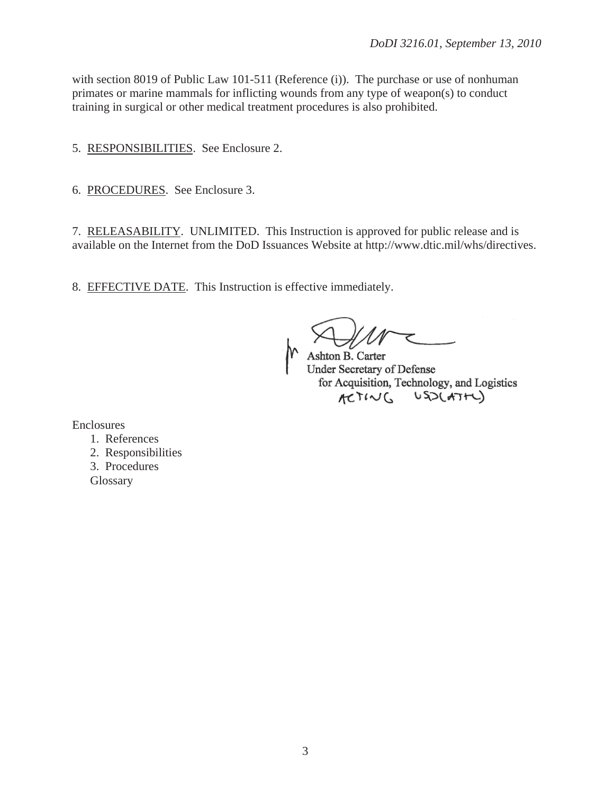with section 8019 of Public Law 101-511 (Reference (i)). The purchase or use of nonhuman primates or marine mammals for inflicting wounds from any type of weapon(s) to conduct training in surgical or other medical treatment procedures is also prohibited.

5. RESPONSIBILITIES. See Enclosure 2.

6. PROCEDURES. See Enclosure 3.

7. RELEASABILITY. UNLIMITED. This Instruction is approved for public release and is available on the Internet from the DoD Issuances Website at http://www.dtic.mil/whs/directives.

8. EFFECTIVE DATE. This Instruction is effective immediately.

Ashton B. Carter Under Secretary of Defense for Acquisition, Technology, and Logistics ACTING USOCATAL)

Enclosures

- 1. References
- 2. Responsibilities
- 3. Procedures

**Glossary**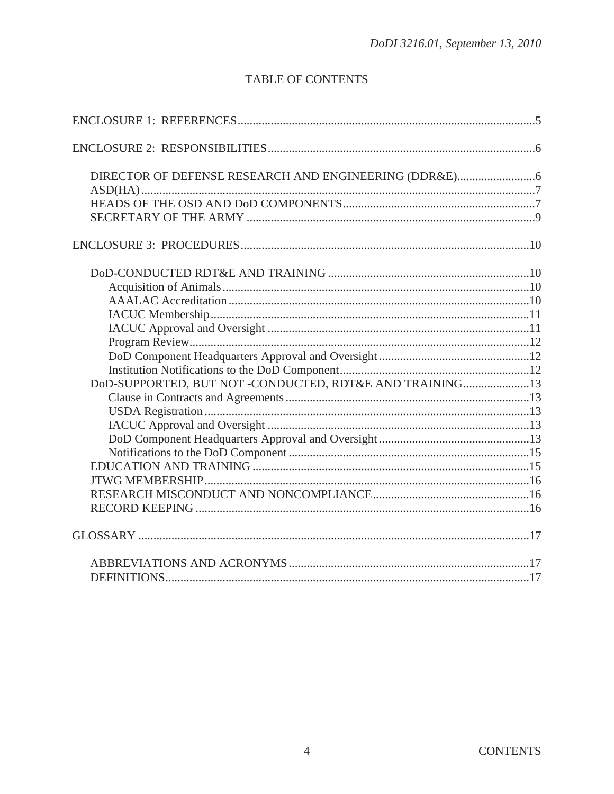# **TABLE OF CONTENTS**

| DoD-SUPPORTED, BUT NOT -CONDUCTED, RDT&E AND TRAINING13 |  |
|---------------------------------------------------------|--|
|                                                         |  |
|                                                         |  |
|                                                         |  |
|                                                         |  |
|                                                         |  |
|                                                         |  |
|                                                         |  |
|                                                         |  |
|                                                         |  |
|                                                         |  |
|                                                         |  |
|                                                         |  |
|                                                         |  |
|                                                         |  |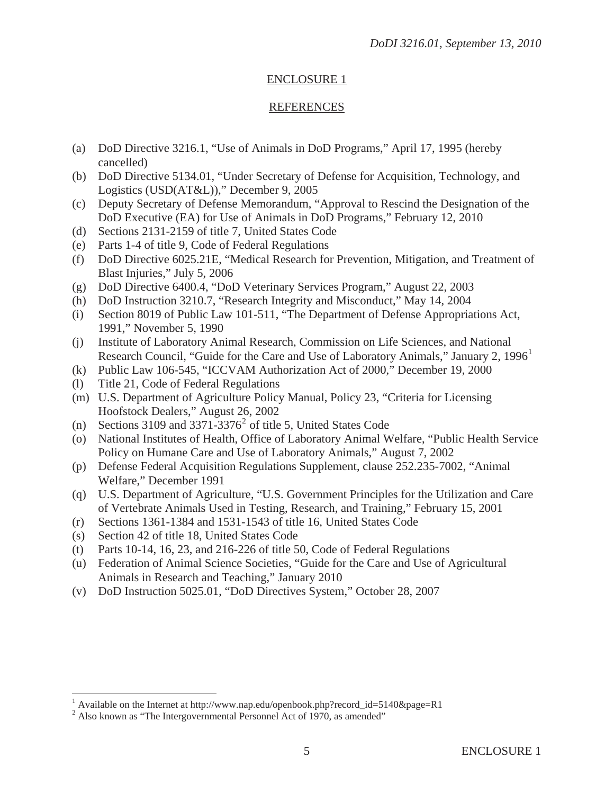## ENCLOSURE 1

## REFERENCES

- (a) DoD Directive 3216.1, "Use of Animals in DoD Programs," April 17, 1995 (hereby cancelled)
- (b) DoD Directive 5134.01, "Under Secretary of Defense for Acquisition, Technology, and Logistics (USD(AT&L))," December 9, 2005
- (c) Deputy Secretary of Defense Memorandum, "Approval to Rescind the Designation of the DoD Executive (EA) for Use of Animals in DoD Programs," February 12, 2010
- (d) Sections 2131-2159 of title 7, United States Code
- (e) Parts 1-4 of title 9, Code of Federal Regulations
- (f) DoD Directive 6025.21E, "Medical Research for Prevention, Mitigation, and Treatment of Blast Injuries," July 5, 2006
- (g) DoD Directive 6400.4, "DoD Veterinary Services Program," August 22, 2003
- (h) DoD Instruction 3210.7, "Research Integrity and Misconduct," May 14, 2004
- (i) Section 8019 of Public Law 101-511, "The Department of Defense Appropriations Act, 1991," November 5, 1990
- (j) Institute of Laboratory Animal Research, Commission on Life Sciences, and National Research Council, "Guide for the Care and Use of Laboratory Animals," January 2, 1996<sup>1</sup>
- (k) Public Law 106-545, "ICCVAM Authorization Act of 2000," December 19, 2000
- (l) Title 21, Code of Federal Regulations
- (m) U.S. Department of Agriculture Policy Manual, Policy 23, "Criteria for Licensing Hoofstock Dealers," August 26, 2002
- (n) Sections 3109 and  $3371-3376^2$  of title 5, United States Code
- (o) National Institutes of Health, Office of Laboratory Animal Welfare, "Public Health Service Policy on Humane Care and Use of Laboratory Animals," August 7, 2002
- (p) Defense Federal Acquisition Regulations Supplement, clause 252.235-7002, "Animal Welfare," December 1991
- (q) U.S. Department of Agriculture, "U.S. Government Principles for the Utilization and Care of Vertebrate Animals Used in Testing, Research, and Training," February 15, 2001
- (r) Sections 1361-1384 and 1531-1543 of title 16, United States Code
- (s) Section 42 of title 18, United States Code
- (t) Parts 10-14, 16, 23, and 216-226 of title 50, Code of Federal Regulations
- (u) Federation of Animal Science Societies, "Guide for the Care and Use of Agricultural Animals in Research and Teaching," January 2010
- (v) DoD Instruction 5025.01, "DoD Directives System," October 28, 2007

<sup>&</sup>lt;sup>1</sup> Available on the Internet at http://www.nap.edu/openbook.php?record\_id=5140&page=R1  $^{2}$  Also known as "The Intersecuery mental Personnal Act of 1070, as amended"

<sup>&</sup>lt;sup>2</sup> Also known as "The Intergovernmental Personnel Act of 1970, as amended"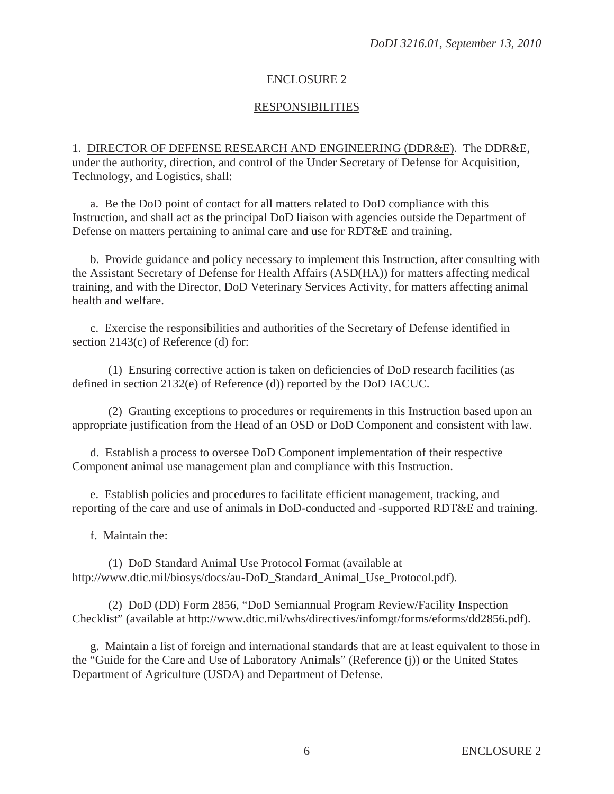## ENCLOSURE 2

## RESPONSIBILITIES

1. DIRECTOR OF DEFENSE RESEARCH AND ENGINEERING (DDR&E). The DDR&E, under the authority, direction, and control of the Under Secretary of Defense for Acquisition, Technology, and Logistics, shall:

a. Be the DoD point of contact for all matters related to DoD compliance with this Instruction, and shall act as the principal DoD liaison with agencies outside the Department of Defense on matters pertaining to animal care and use for RDT&E and training.

b. Provide guidance and policy necessary to implement this Instruction, after consulting with the Assistant Secretary of Defense for Health Affairs (ASD(HA)) for matters affecting medical training, and with the Director, DoD Veterinary Services Activity, for matters affecting animal health and welfare.

 c. Exercise the responsibilities and authorities of the Secretary of Defense identified in section 2143(c) of Reference (d) for:

 (1) Ensuring corrective action is taken on deficiencies of DoD research facilities (as defined in section 2132(e) of Reference (d)) reported by the DoD IACUC.

 (2) Granting exceptions to procedures or requirements in this Instruction based upon an appropriate justification from the Head of an OSD or DoD Component and consistent with law.

 d. Establish a process to oversee DoD Component implementation of their respective Component animal use management plan and compliance with this Instruction.

 e. Establish policies and procedures to facilitate efficient management, tracking, and reporting of the care and use of animals in DoD-conducted and -supported RDT&E and training.

f. Maintain the:

 (1) DoD Standard Animal Use Protocol Format (available at http://www.dtic.mil/biosys/docs/au-DoD\_Standard\_Animal\_Use\_Protocol.pdf).

 (2) DoD (DD) Form 2856, "DoD Semiannual Program Review/Facility Inspection Checklist" (available at http://www.dtic.mil/whs/directives/infomgt/forms/eforms/dd2856.pdf).

 g. Maintain a list of foreign and international standards that are at least equivalent to those in the "Guide for the Care and Use of Laboratory Animals" (Reference (j)) or the United States Department of Agriculture (USDA) and Department of Defense.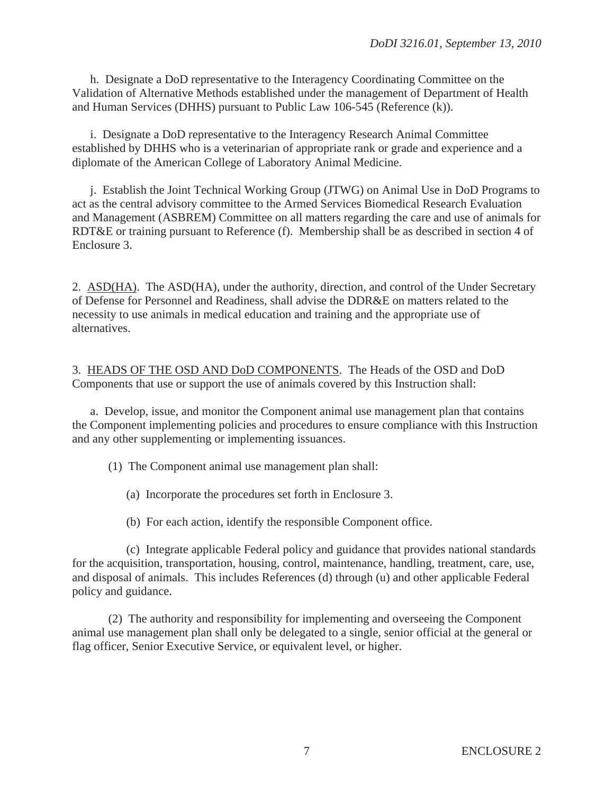h. Designate a DoD representative to the Interagency Coordinating Committee on the Validation of Alternative Methods established under the management of Department of Health and Human Services (DHHS) pursuant to Public Law 106-545 (Reference (k)).

 i. Designate a DoD representative to the Interagency Research Animal Committee established by DHHS who is a veterinarian of appropriate rank or grade and experience and a diplomate of the American College of Laboratory Animal Medicine.

 j. Establish the Joint Technical Working Group (JTWG) on Animal Use in DoD Programs to act as the central advisory committee to the Armed Services Biomedical Research Evaluation and Management (ASBREM) Committee on all matters regarding the care and use of animals for RDT&E or training pursuant to Reference (f). Membership shall be as described in section 4 of Enclosure 3.

2. ASD(HA). The ASD(HA), under the authority, direction, and control of the Under Secretary of Defense for Personnel and Readiness, shall advise the DDR&E on matters related to the necessity to use animals in medical education and training and the appropriate use of alternatives.

3. HEADS OF THE OSD AND DoD COMPONENTS. The Heads of the OSD and DoD Components that use or support the use of animals covered by this Instruction shall:

 a. Develop, issue, and monitor the Component animal use management plan that contains the Component implementing policies and procedures to ensure compliance with this Instruction and any other supplementing or implementing issuances.

(1) The Component animal use management plan shall:

- (a) Incorporate the procedures set forth in Enclosure 3.
- (b) For each action, identify the responsible Component office.

 (c) Integrate applicable Federal policy and guidance that provides national standards for the acquisition, transportation, housing, control, maintenance, handling, treatment, care, use, and disposal of animals. This includes References (d) through (u) and other applicable Federal policy and guidance.

 (2) The authority and responsibility for implementing and overseeing the Component animal use management plan shall only be delegated to a single, senior official at the general or flag officer, Senior Executive Service, or equivalent level, or higher.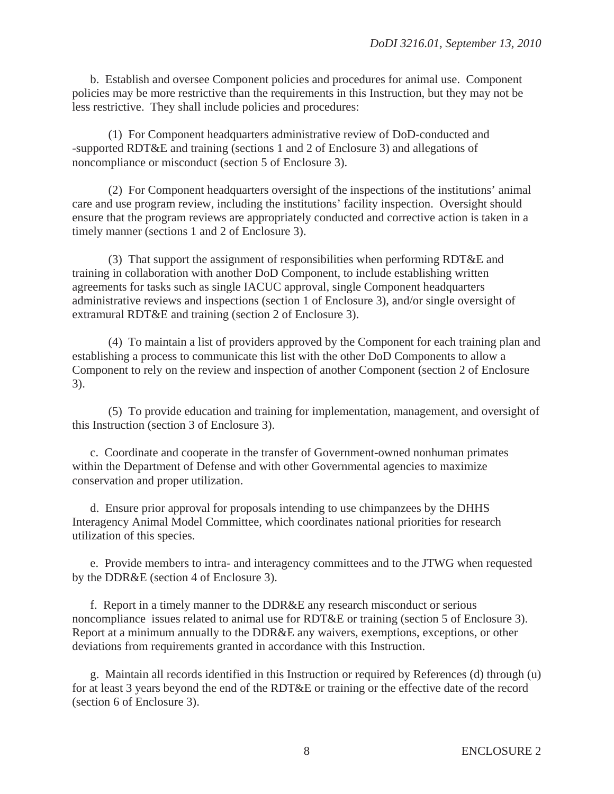b. Establish and oversee Component policies and procedures for animal use. Component policies may be more restrictive than the requirements in this Instruction, but they may not be less restrictive. They shall include policies and procedures:

 (1) For Component headquarters administrative review of DoD-conducted and -supported RDT&E and training (sections 1 and 2 of Enclosure 3) and allegations of noncompliance or misconduct (section 5 of Enclosure 3).

 (2) For Component headquarters oversight of the inspections of the institutions' animal care and use program review, including the institutions' facility inspection. Oversight should ensure that the program reviews are appropriately conducted and corrective action is taken in a timely manner (sections 1 and 2 of Enclosure 3).

 (3) That support the assignment of responsibilities when performing RDT&E and training in collaboration with another DoD Component, to include establishing written agreements for tasks such as single IACUC approval, single Component headquarters administrative reviews and inspections (section 1 of Enclosure 3), and/or single oversight of extramural RDT&E and training (section 2 of Enclosure 3).

 (4) To maintain a list of providers approved by the Component for each training plan and establishing a process to communicate this list with the other DoD Components to allow a Component to rely on the review and inspection of another Component (section 2 of Enclosure 3).

 (5) To provide education and training for implementation, management, and oversight of this Instruction (section 3 of Enclosure 3).

 c. Coordinate and cooperate in the transfer of Government-owned nonhuman primates within the Department of Defense and with other Governmental agencies to maximize conservation and proper utilization.

 d. Ensure prior approval for proposals intending to use chimpanzees by the DHHS Interagency Animal Model Committee, which coordinates national priorities for research utilization of this species.

 e. Provide members to intra- and interagency committees and to the JTWG when requested by the DDR&E (section 4 of Enclosure 3).

 f. Report in a timely manner to the DDR&E any research misconduct or serious noncompliance issues related to animal use for RDT&E or training (section 5 of Enclosure 3). Report at a minimum annually to the DDR&E any waivers, exemptions, exceptions, or other deviations from requirements granted in accordance with this Instruction.

 g. Maintain all records identified in this Instruction or required by References (d) through (u) for at least 3 years beyond the end of the RDT&E or training or the effective date of the record (section 6 of Enclosure 3).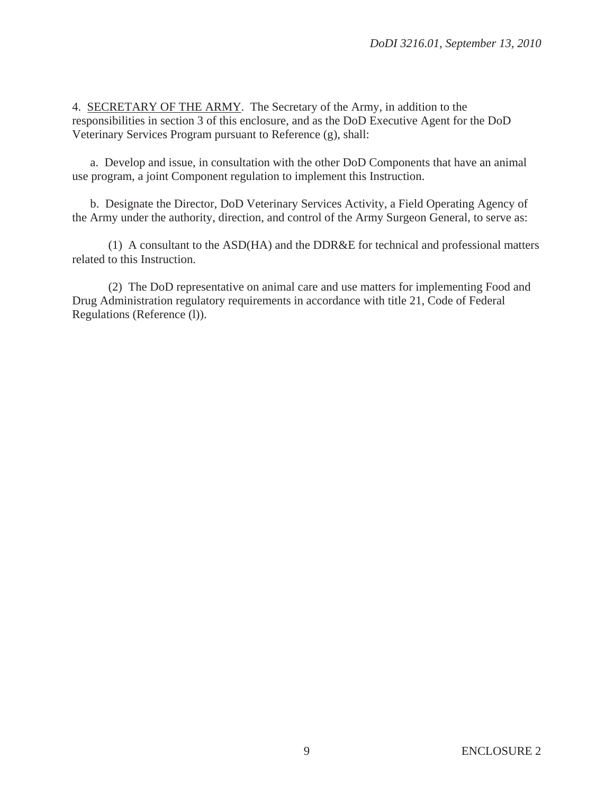4. SECRETARY OF THE ARMY. The Secretary of the Army, in addition to the responsibilities in section 3 of this enclosure, and as the DoD Executive Agent for the DoD Veterinary Services Program pursuant to Reference (g), shall:

 a. Develop and issue, in consultation with the other DoD Components that have an animal use program, a joint Component regulation to implement this Instruction.

 b. Designate the Director, DoD Veterinary Services Activity, a Field Operating Agency of the Army under the authority, direction, and control of the Army Surgeon General, to serve as:

 (1) A consultant to the ASD(HA) and the DDR&E for technical and professional matters related to this Instruction.

 (2) The DoD representative on animal care and use matters for implementing Food and Drug Administration regulatory requirements in accordance with title 21, Code of Federal Regulations (Reference (l)).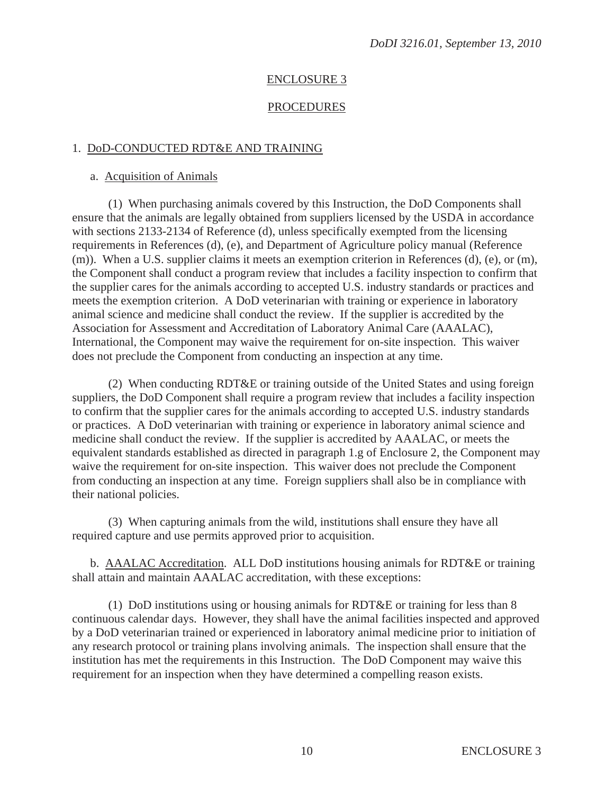### ENCLOSURE 3

#### PROCEDURES

#### 1. DoD-CONDUCTED RDT&E AND TRAINING

#### a. Acquisition of Animals

 (1) When purchasing animals covered by this Instruction, the DoD Components shall ensure that the animals are legally obtained from suppliers licensed by the USDA in accordance with sections 2133-2134 of Reference (d), unless specifically exempted from the licensing requirements in References (d), (e), and Department of Agriculture policy manual (Reference (m)). When a U.S. supplier claims it meets an exemption criterion in References (d), (e), or (m), the Component shall conduct a program review that includes a facility inspection to confirm that the supplier cares for the animals according to accepted U.S. industry standards or practices and meets the exemption criterion. A DoD veterinarian with training or experience in laboratory animal science and medicine shall conduct the review. If the supplier is accredited by the Association for Assessment and Accreditation of Laboratory Animal Care (AAALAC), International, the Component may waive the requirement for on-site inspection. This waiver does not preclude the Component from conducting an inspection at any time.

 (2) When conducting RDT&E or training outside of the United States and using foreign suppliers, the DoD Component shall require a program review that includes a facility inspection to confirm that the supplier cares for the animals according to accepted U.S. industry standards or practices. A DoD veterinarian with training or experience in laboratory animal science and medicine shall conduct the review. If the supplier is accredited by AAALAC, or meets the equivalent standards established as directed in paragraph 1.g of Enclosure 2, the Component may waive the requirement for on-site inspection. This waiver does not preclude the Component from conducting an inspection at any time. Foreign suppliers shall also be in compliance with their national policies.

 (3) When capturing animals from the wild, institutions shall ensure they have all required capture and use permits approved prior to acquisition.

 b. AAALAC Accreditation. ALL DoD institutions housing animals for RDT&E or training shall attain and maintain AAALAC accreditation, with these exceptions:

 (1) DoD institutions using or housing animals for RDT&E or training for less than 8 continuous calendar days. However, they shall have the animal facilities inspected and approved by a DoD veterinarian trained or experienced in laboratory animal medicine prior to initiation of any research protocol or training plans involving animals. The inspection shall ensure that the institution has met the requirements in this Instruction. The DoD Component may waive this requirement for an inspection when they have determined a compelling reason exists.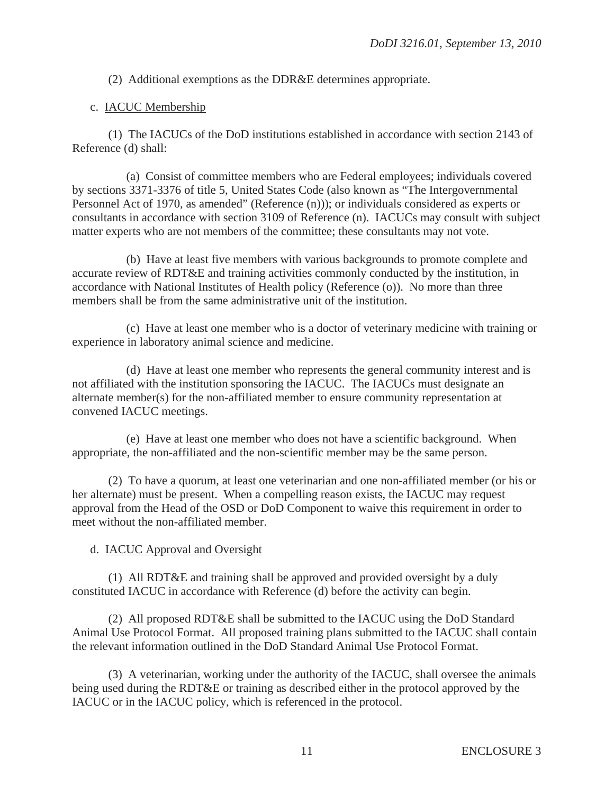(2) Additional exemptions as the DDR&E determines appropriate.

## c. IACUC Membership

 (1) The IACUCs of the DoD institutions established in accordance with section 2143 of Reference (d) shall:

 (a) Consist of committee members who are Federal employees; individuals covered by sections 3371-3376 of title 5, United States Code (also known as "The Intergovernmental Personnel Act of 1970, as amended" (Reference (n))); or individuals considered as experts or consultants in accordance with section 3109 of Reference (n). IACUCs may consult with subject matter experts who are not members of the committee; these consultants may not vote.

 (b) Have at least five members with various backgrounds to promote complete and accurate review of RDT&E and training activities commonly conducted by the institution, in accordance with National Institutes of Health policy (Reference (o)). No more than three members shall be from the same administrative unit of the institution.

 (c) Have at least one member who is a doctor of veterinary medicine with training or experience in laboratory animal science and medicine.

 (d) Have at least one member who represents the general community interest and is not affiliated with the institution sponsoring the IACUC. The IACUCs must designate an alternate member(s) for the non-affiliated member to ensure community representation at convened IACUC meetings.

 (e) Have at least one member who does not have a scientific background. When appropriate, the non-affiliated and the non-scientific member may be the same person.

 (2) To have a quorum, at least one veterinarian and one non-affiliated member (or his or her alternate) must be present. When a compelling reason exists, the IACUC may request approval from the Head of the OSD or DoD Component to waive this requirement in order to meet without the non-affiliated member.

# d. IACUC Approval and Oversight

 (1) All RDT&E and training shall be approved and provided oversight by a duly constituted IACUC in accordance with Reference (d) before the activity can begin.

 (2) All proposed RDT&E shall be submitted to the IACUC using the DoD Standard Animal Use Protocol Format. All proposed training plans submitted to the IACUC shall contain the relevant information outlined in the DoD Standard Animal Use Protocol Format.

 (3) A veterinarian, working under the authority of the IACUC, shall oversee the animals being used during the RDT&E or training as described either in the protocol approved by the IACUC or in the IACUC policy, which is referenced in the protocol.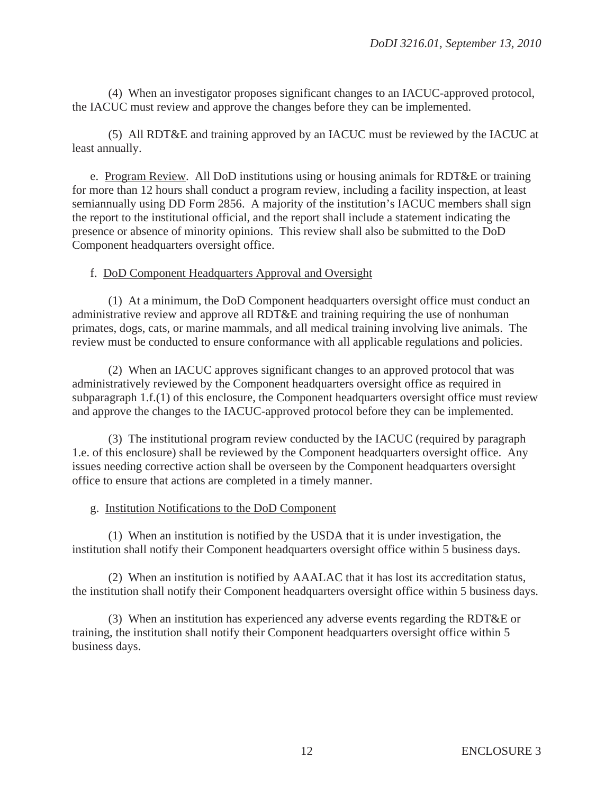(4) When an investigator proposes significant changes to an IACUC-approved protocol, the IACUC must review and approve the changes before they can be implemented.

 (5) All RDT&E and training approved by an IACUC must be reviewed by the IACUC at least annually.

e. Program Review. All DoD institutions using or housing animals for RDT&E or training for more than 12 hours shall conduct a program review, including a facility inspection, at least semiannually using DD Form 2856. A majority of the institution's IACUC members shall sign the report to the institutional official, and the report shall include a statement indicating the presence or absence of minority opinions. This review shall also be submitted to the DoD Component headquarters oversight office.

## f. DoD Component Headquarters Approval and Oversight

 (1) At a minimum, the DoD Component headquarters oversight office must conduct an administrative review and approve all RDT&E and training requiring the use of nonhuman primates, dogs, cats, or marine mammals, and all medical training involving live animals. The review must be conducted to ensure conformance with all applicable regulations and policies.

 (2) When an IACUC approves significant changes to an approved protocol that was administratively reviewed by the Component headquarters oversight office as required in subparagraph 1.f.(1) of this enclosure, the Component headquarters oversight office must review and approve the changes to the IACUC-approved protocol before they can be implemented.

 (3) The institutional program review conducted by the IACUC (required by paragraph 1.e. of this enclosure) shall be reviewed by the Component headquarters oversight office. Any issues needing corrective action shall be overseen by the Component headquarters oversight office to ensure that actions are completed in a timely manner.

#### g. Institution Notifications to the DoD Component

 (1) When an institution is notified by the USDA that it is under investigation, the institution shall notify their Component headquarters oversight office within 5 business days.

 (2) When an institution is notified by AAALAC that it has lost its accreditation status, the institution shall notify their Component headquarters oversight office within 5 business days.

 (3) When an institution has experienced any adverse events regarding the RDT&E or training, the institution shall notify their Component headquarters oversight office within 5 business days.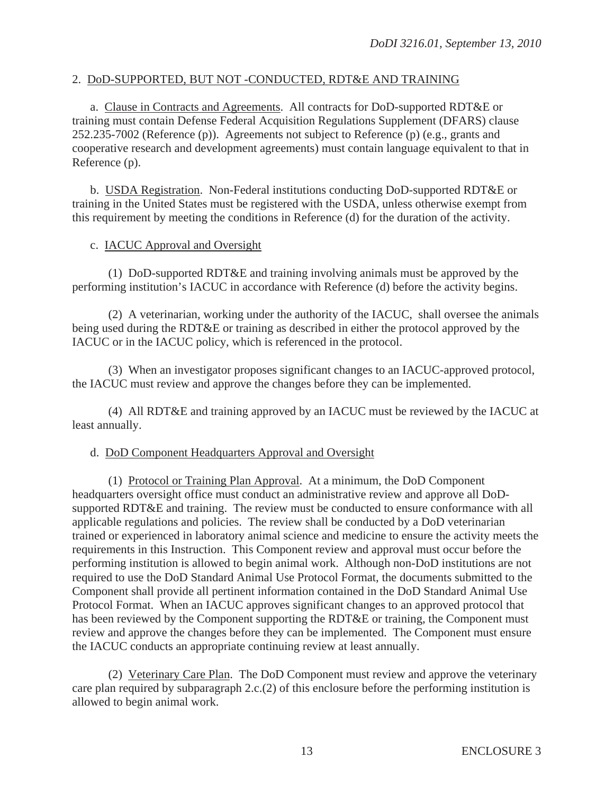## 2. DoD-SUPPORTED, BUT NOT -CONDUCTED, RDT&E AND TRAINING

 a. Clause in Contracts and Agreements. All contracts for DoD-supported RDT&E or training must contain Defense Federal Acquisition Regulations Supplement (DFARS) clause 252.235-7002 (Reference (p)). Agreements not subject to Reference (p) (e.g., grants and cooperative research and development agreements) must contain language equivalent to that in Reference (p).

 b. USDA Registration. Non-Federal institutions conducting DoD-supported RDT&E or training in the United States must be registered with the USDA, unless otherwise exempt from this requirement by meeting the conditions in Reference (d) for the duration of the activity.

#### c. IACUC Approval and Oversight

 (1) DoD-supported RDT&E and training involving animals must be approved by the performing institution's IACUC in accordance with Reference (d) before the activity begins.

 (2) A veterinarian, working under the authority of the IACUC, shall oversee the animals being used during the RDT&E or training as described in either the protocol approved by the IACUC or in the IACUC policy, which is referenced in the protocol.

 (3) When an investigator proposes significant changes to an IACUC-approved protocol, the IACUC must review and approve the changes before they can be implemented.

 (4) All RDT&E and training approved by an IACUC must be reviewed by the IACUC at least annually.

#### d. DoD Component Headquarters Approval and Oversight

 (1) Protocol or Training Plan Approval. At a minimum, the DoD Component headquarters oversight office must conduct an administrative review and approve all DoDsupported RDT&E and training. The review must be conducted to ensure conformance with all applicable regulations and policies. The review shall be conducted by a DoD veterinarian trained or experienced in laboratory animal science and medicine to ensure the activity meets the requirements in this Instruction. This Component review and approval must occur before the performing institution is allowed to begin animal work. Although non-DoD institutions are not required to use the DoD Standard Animal Use Protocol Format, the documents submitted to the Component shall provide all pertinent information contained in the DoD Standard Animal Use Protocol Format. When an IACUC approves significant changes to an approved protocol that has been reviewed by the Component supporting the RDT&E or training, the Component must review and approve the changes before they can be implemented. The Component must ensure the IACUC conducts an appropriate continuing review at least annually.

 (2) Veterinary Care Plan. The DoD Component must review and approve the veterinary care plan required by subparagraph 2.c.(2) of this enclosure before the performing institution is allowed to begin animal work.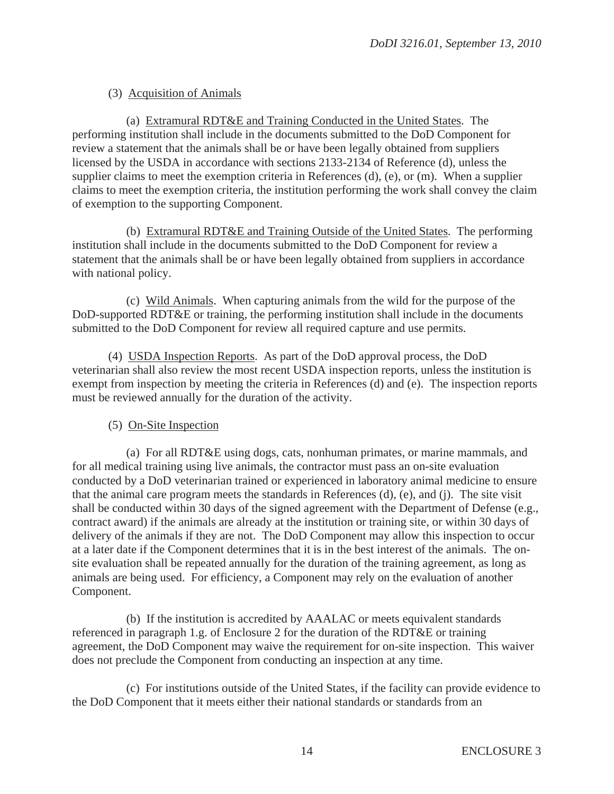## (3) Acquisition of Animals

 (a) Extramural RDT&E and Training Conducted in the United States. The performing institution shall include in the documents submitted to the DoD Component for review a statement that the animals shall be or have been legally obtained from suppliers licensed by the USDA in accordance with sections 2133-2134 of Reference (d), unless the supplier claims to meet the exemption criteria in References (d), (e), or (m). When a supplier claims to meet the exemption criteria, the institution performing the work shall convey the claim of exemption to the supporting Component.

 (b) Extramural RDT&E and Training Outside of the United States. The performing institution shall include in the documents submitted to the DoD Component for review a statement that the animals shall be or have been legally obtained from suppliers in accordance with national policy.

 (c) Wild Animals. When capturing animals from the wild for the purpose of the DoD-supported RDT&E or training, the performing institution shall include in the documents submitted to the DoD Component for review all required capture and use permits.

 (4) USDA Inspection Reports. As part of the DoD approval process, the DoD veterinarian shall also review the most recent USDA inspection reports, unless the institution is exempt from inspection by meeting the criteria in References (d) and (e). The inspection reports must be reviewed annually for the duration of the activity.

## (5) On-Site Inspection

 (a) For all RDT&E using dogs, cats, nonhuman primates, or marine mammals, and for all medical training using live animals, the contractor must pass an on-site evaluation conducted by a DoD veterinarian trained or experienced in laboratory animal medicine to ensure that the animal care program meets the standards in References (d), (e), and (j). The site visit shall be conducted within 30 days of the signed agreement with the Department of Defense (e.g., contract award) if the animals are already at the institution or training site, or within 30 days of delivery of the animals if they are not. The DoD Component may allow this inspection to occur at a later date if the Component determines that it is in the best interest of the animals. The onsite evaluation shall be repeated annually for the duration of the training agreement, as long as animals are being used. For efficiency, a Component may rely on the evaluation of another Component.

 (b) If the institution is accredited by AAALAC or meets equivalent standards referenced in paragraph 1.g. of Enclosure 2 for the duration of the RDT&E or training agreement, the DoD Component may waive the requirement for on-site inspection. This waiver does not preclude the Component from conducting an inspection at any time.

 (c) For institutions outside of the United States, if the facility can provide evidence to the DoD Component that it meets either their national standards or standards from an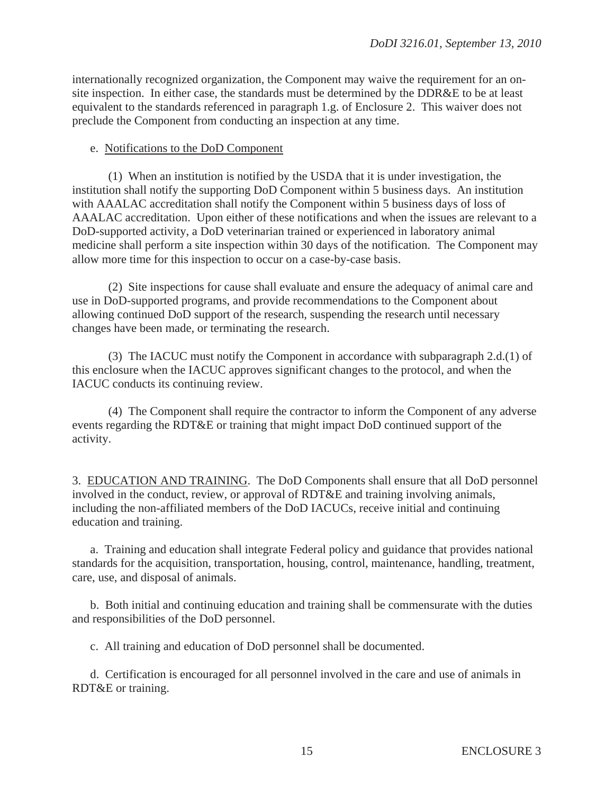internationally recognized organization, the Component may waive the requirement for an onsite inspection. In either case, the standards must be determined by the DDR&E to be at least equivalent to the standards referenced in paragraph 1.g. of Enclosure 2. This waiver does not preclude the Component from conducting an inspection at any time.

#### e. Notifications to the DoD Component

 (1) When an institution is notified by the USDA that it is under investigation, the institution shall notify the supporting DoD Component within 5 business days. An institution with AAALAC accreditation shall notify the Component within 5 business days of loss of AAALAC accreditation. Upon either of these notifications and when the issues are relevant to a DoD-supported activity, a DoD veterinarian trained or experienced in laboratory animal medicine shall perform a site inspection within 30 days of the notification. The Component may allow more time for this inspection to occur on a case-by-case basis.

 (2) Site inspections for cause shall evaluate and ensure the adequacy of animal care and use in DoD-supported programs, and provide recommendations to the Component about allowing continued DoD support of the research, suspending the research until necessary changes have been made, or terminating the research.

 (3) The IACUC must notify the Component in accordance with subparagraph 2.d.(1) of this enclosure when the IACUC approves significant changes to the protocol, and when the IACUC conducts its continuing review.

 (4) The Component shall require the contractor to inform the Component of any adverse events regarding the RDT&E or training that might impact DoD continued support of the activity.

3. EDUCATION AND TRAINING. The DoD Components shall ensure that all DoD personnel involved in the conduct, review, or approval of RDT&E and training involving animals, including the non-affiliated members of the DoD IACUCs, receive initial and continuing education and training.

 a. Training and education shall integrate Federal policy and guidance that provides national standards for the acquisition, transportation, housing, control, maintenance, handling, treatment, care, use, and disposal of animals.

 b. Both initial and continuing education and training shall be commensurate with the duties and responsibilities of the DoD personnel.

c. All training and education of DoD personnel shall be documented.

 d. Certification is encouraged for all personnel involved in the care and use of animals in RDT&E or training.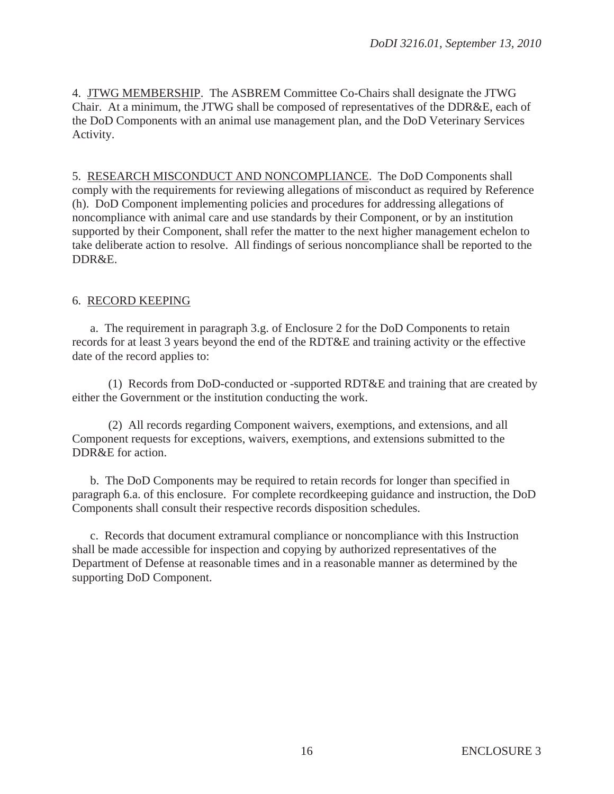4. JTWG MEMBERSHIP. The ASBREM Committee Co-Chairs shall designate the JTWG Chair. At a minimum, the JTWG shall be composed of representatives of the DDR&E, each of the DoD Components with an animal use management plan, and the DoD Veterinary Services Activity.

5. RESEARCH MISCONDUCT AND NONCOMPLIANCE. The DoD Components shall comply with the requirements for reviewing allegations of misconduct as required by Reference (h). DoD Component implementing policies and procedures for addressing allegations of noncompliance with animal care and use standards by their Component, or by an institution supported by their Component, shall refer the matter to the next higher management echelon to take deliberate action to resolve. All findings of serious noncompliance shall be reported to the DDR&E.

## 6. RECORD KEEPING

 a. The requirement in paragraph 3.g. of Enclosure 2 for the DoD Components to retain records for at least 3 years beyond the end of the RDT&E and training activity or the effective date of the record applies to:

 (1) Records from DoD-conducted or -supported RDT&E and training that are created by either the Government or the institution conducting the work.

 (2) All records regarding Component waivers, exemptions, and extensions, and all Component requests for exceptions, waivers, exemptions, and extensions submitted to the DDR&E for action.

b. The DoD Components may be required to retain records for longer than specified in paragraph 6.a. of this enclosure. For complete recordkeeping guidance and instruction, the DoD Components shall consult their respective records disposition schedules.

 c. Records that document extramural compliance or noncompliance with this Instruction shall be made accessible for inspection and copying by authorized representatives of the Department of Defense at reasonable times and in a reasonable manner as determined by the supporting DoD Component.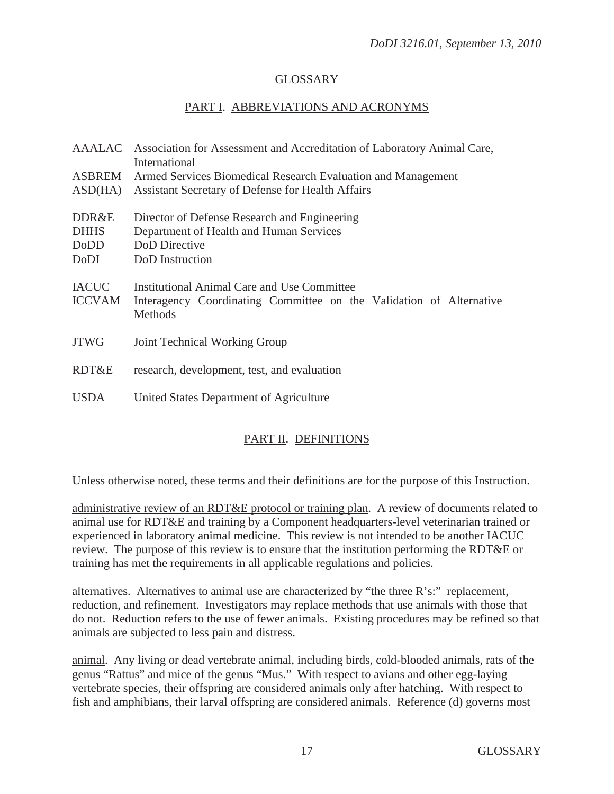## GLOSSARY

## PART I. ABBREVIATIONS AND ACRONYMS

|                                      | AAALAC Association for Assessment and Accreditation of Laboratory Animal Care,<br>International                                      |
|--------------------------------------|--------------------------------------------------------------------------------------------------------------------------------------|
| ASBREM                               | Armed Services Biomedical Research Evaluation and Management                                                                         |
| ASD(HA)                              | Assistant Secretary of Defense for Health Affairs                                                                                    |
| DDR&E<br><b>DHHS</b><br>DoDD<br>DoDI | Director of Defense Research and Engineering<br>Department of Health and Human Services<br>DoD Directive<br>DoD Instruction          |
| <b>IACUC</b><br><b>ICCVAM</b>        | <b>Institutional Animal Care and Use Committee</b><br>Interagency Coordinating Committee on the Validation of Alternative<br>Methods |
| <b>JTWG</b>                          | Joint Technical Working Group                                                                                                        |
| RDT&E                                | research, development, test, and evaluation                                                                                          |
| <b>USDA</b>                          | United States Department of Agriculture                                                                                              |

# PART II. DEFINITIONS

Unless otherwise noted, these terms and their definitions are for the purpose of this Instruction.

administrative review of an RDT&E protocol or training plan. A review of documents related to animal use for RDT&E and training by a Component headquarters-level veterinarian trained or experienced in laboratory animal medicine. This review is not intended to be another IACUC review. The purpose of this review is to ensure that the institution performing the RDT&E or training has met the requirements in all applicable regulations and policies.

alternatives. Alternatives to animal use are characterized by "the three  $R$ 's:" replacement, reduction, and refinement. Investigators may replace methods that use animals with those that do not. Reduction refers to the use of fewer animals. Existing procedures may be refined so that animals are subjected to less pain and distress.

animal. Any living or dead vertebrate animal, including birds, cold-blooded animals, rats of the genus "Rattus" and mice of the genus "Mus." With respect to avians and other egg-laying vertebrate species, their offspring are considered animals only after hatching. With respect to fish and amphibians, their larval offspring are considered animals. Reference (d) governs most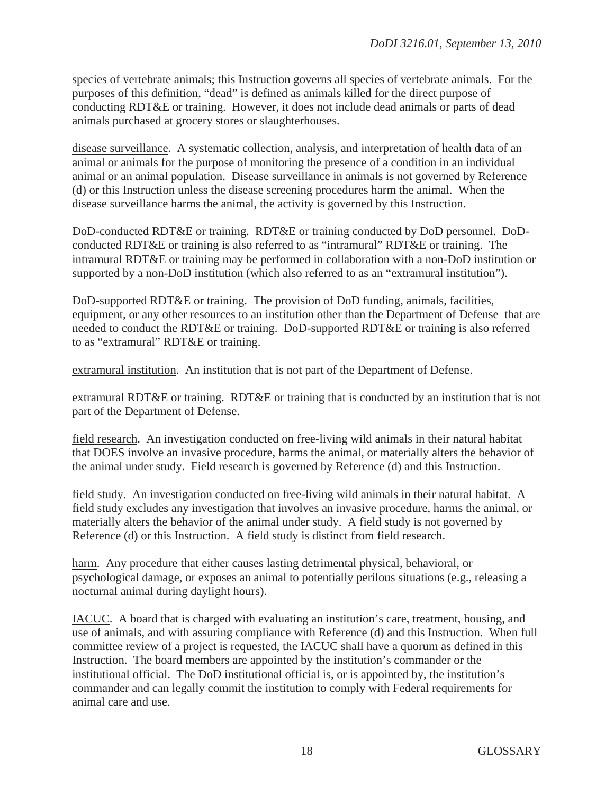species of vertebrate animals; this Instruction governs all species of vertebrate animals. For the purposes of this definition, "dead" is defined as animals killed for the direct purpose of conducting RDT&E or training. However, it does not include dead animals or parts of dead animals purchased at grocery stores or slaughterhouses.

disease surveillance. A systematic collection, analysis, and interpretation of health data of an animal or animals for the purpose of monitoring the presence of a condition in an individual animal or an animal population. Disease surveillance in animals is not governed by Reference (d) or this Instruction unless the disease screening procedures harm the animal. When the disease surveillance harms the animal, the activity is governed by this Instruction.

DoD-conducted RDT&E or training. RDT&E or training conducted by DoD personnel. DoDconducted RDT&E or training is also referred to as "intramural" RDT&E or training. The intramural RDT&E or training may be performed in collaboration with a non-DoD institution or supported by a non-DoD institution (which also referred to as an "extramural institution").

DoD-supported RDT&E or training. The provision of DoD funding, animals, facilities, equipment, or any other resources to an institution other than the Department of Defense that are needed to conduct the RDT&E or training. DoD-supported RDT&E or training is also referred to as "extramural" RDT&E or training.

extramural institution. An institution that is not part of the Department of Defense.

extramural RDT&E or training. RDT&E or training that is conducted by an institution that is not part of the Department of Defense.

field research. An investigation conducted on free-living wild animals in their natural habitat that DOES involve an invasive procedure, harms the animal, or materially alters the behavior of the animal under study. Field research is governed by Reference (d) and this Instruction.

field study. An investigation conducted on free-living wild animals in their natural habitat. A field study excludes any investigation that involves an invasive procedure, harms the animal, or materially alters the behavior of the animal under study. A field study is not governed by Reference (d) or this Instruction. A field study is distinct from field research.

harm. Any procedure that either causes lasting detrimental physical, behavioral, or psychological damage, or exposes an animal to potentially perilous situations (e.g., releasing a nocturnal animal during daylight hours).

IACUC. A board that is charged with evaluating an institution's care, treatment, housing, and use of animals, and with assuring compliance with Reference (d) and this Instruction. When full committee review of a project is requested, the IACUC shall have a quorum as defined in this Instruction. The board members are appointed by the institution's commander or the institutional official. The DoD institutional official is, or is appointed by, the institution's commander and can legally commit the institution to comply with Federal requirements for animal care and use.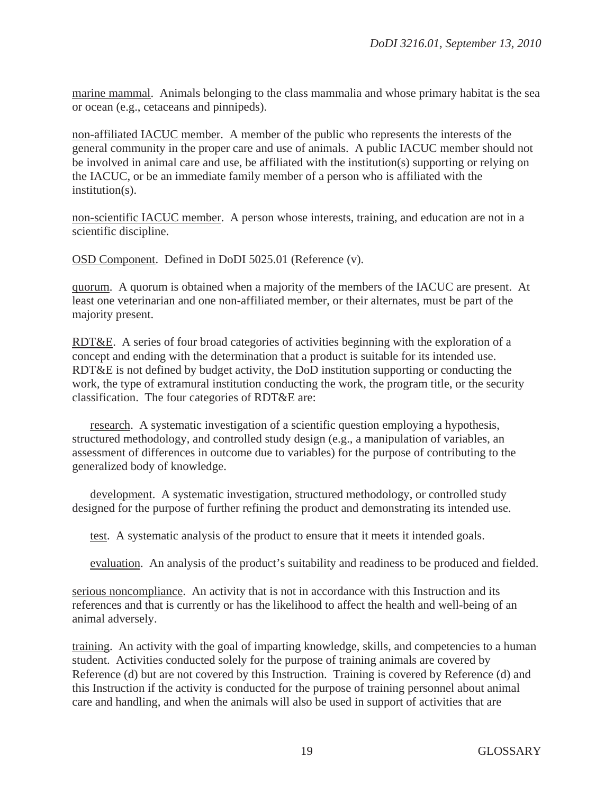marine mammal. Animals belonging to the class mammalia and whose primary habitat is the sea or ocean (e.g., cetaceans and pinnipeds).

non-affiliated IACUC member. A member of the public who represents the interests of the general community in the proper care and use of animals. A public IACUC member should not be involved in animal care and use, be affiliated with the institution(s) supporting or relying on the IACUC, or be an immediate family member of a person who is affiliated with the institution(s).

non-scientific IACUC member. A person whose interests, training, and education are not in a scientific discipline.

OSD Component. Defined in DoDI 5025.01 (Reference (v).

quorum. A quorum is obtained when a majority of the members of the IACUC are present. At least one veterinarian and one non-affiliated member, or their alternates, must be part of the majority present.

RDT&E. A series of four broad categories of activities beginning with the exploration of a concept and ending with the determination that a product is suitable for its intended use. RDT&E is not defined by budget activity, the DoD institution supporting or conducting the work, the type of extramural institution conducting the work, the program title, or the security classification. The four categories of RDT&E are:

 research. A systematic investigation of a scientific question employing a hypothesis, structured methodology, and controlled study design (e.g., a manipulation of variables, an assessment of differences in outcome due to variables) for the purpose of contributing to the generalized body of knowledge.

 development. A systematic investigation, structured methodology, or controlled study designed for the purpose of further refining the product and demonstrating its intended use.

test. A systematic analysis of the product to ensure that it meets it intended goals.

evaluation. An analysis of the product's suitability and readiness to be produced and fielded.

serious noncompliance. An activity that is not in accordance with this Instruction and its references and that is currently or has the likelihood to affect the health and well-being of an animal adversely.

training. An activity with the goal of imparting knowledge, skills, and competencies to a human student. Activities conducted solely for the purpose of training animals are covered by Reference (d) but are not covered by this Instruction. Training is covered by Reference (d) and this Instruction if the activity is conducted for the purpose of training personnel about animal care and handling, and when the animals will also be used in support of activities that are